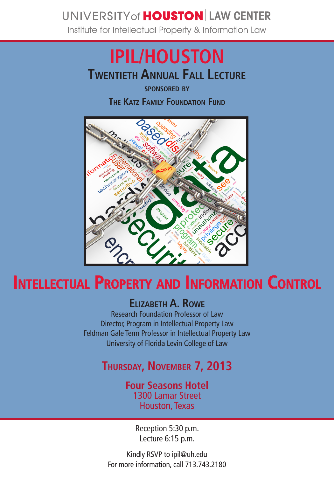## UNIVERSITY of **HOUSTON** LAW CENTER

Institute for Intellectual Property & Information Law

# **Twentieth Annual Fall Lecture IPIL/HOUSTON**

**sponsored by The Katz Family Foundation Fund**



## **Intellectual Property and Information Control**

### **Elizabeth A. Rowe**

Research Foundation Professor of Law Director, Program in Intellectual Property Law Feldman Gale Term Professor in Intellectual Property Law University of Florida Levin College of Law

## **Thursday, November 7, 2013**

#### **Four Seasons Hotel** 1300 Lamar Street Houston, Texas

Reception 5:30 p.m. Lecture 6:15 p.m.

Kindly RSVP to ipil@uh.edu For more information, call 713.743.2180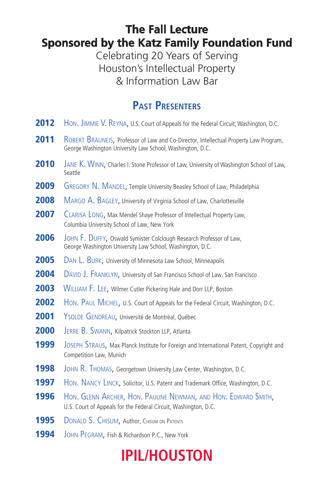### **The Fall Lecture Sponsored by the Katz Family Foundation Fund**

Celebrating 20 Years of Serving Houston's Intellectual Property & Information Law Bar

### **Past Presenters**

- **2012** HON. JIMMIE V. REYNA, U.S. Court of Appeals for the Federal Circuit, Washington, D.C.
- 2011 ROBERT BRAUNEIS, Professor of Law and Co-Director, Intellectual Property Law Program, George Washington University Law School, Washington, D.C.
- 2010 JANE K. WINN, Charles I. Stone Professor of Law, University of Washington School of Law, Seattle
- **2009** GREGORY N. MANDEL, Temple University Beasley School of Law, Philadelphia
- 2008 MARGO A. BAGLEY, University of Virginia School of Law, Charlottesville
- 2007 CLARISA LONG, Max Mendel Shaye Professor of Intellectual Property Law, Columbia University School of Law, New York
- 2006 JOHN F. DUFFY, Oswald Symister Colclough Research Professor of Law, George Washington University Law School, Washington, D.C.
- **2005** DAN L. BURK, University of Minnesota Law School, Minneapolis
- 2004 DAVID J. FRANKLYN, University of San Francisco School of Law, San Francisco
- **2003** WILLIAM F. LEE, Wilmer Cutler Pickering Hale and Dorr LLP, Boston
- **2002** HON. PAUL MICHEL, U.S. Court of Appeals for the Federal Circuit, Washington, D.C.
- 2001 YSOLDE GENDREAU, Université de Montréal, Québec
- 2000 JERRE B. SWANN, Kilpatrick Stockton LLP, Atlanta
- 1999 JOSEPH STRAUS, Max Planck Institute for Foreign and International Patent, Copyright and Competition Law, Munich
- **1998** JOHN R. THOMAS, Georgetown University Law Center, Washington, D.C.
- **1997** HON. NANCY LINCK, Solicitor, U.S. Patent and Trademark Office, Washington, D.C.
- 1996 Hon. GLENN ARCHER, HON. PAULINE NEWMAN, AND HON. EDWARD SMITH, U.S. Court of Appeals for the Federal Circuit, Washington, D.C.
- **1995** DONALD S. CHISUM, Author, Chisum on Patents
- **1994** JOHN PEGRAM, Fish & Richardson P.C., New York

# **IPIL/HOUSTON**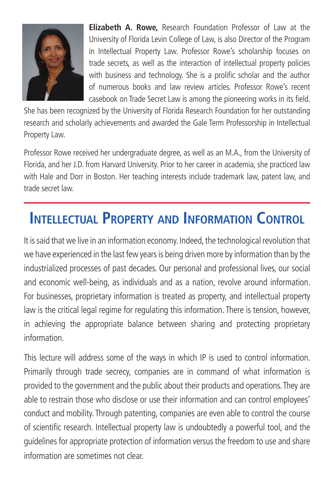

**Elizabeth A. Rowe,** Research Foundation Professor of Law at the University of Florida Levin College of Law, is also Director of the Program in Intellectual Property Law. Professor Rowe's scholarship focuses on trade secrets, as well as the interaction of intellectual property policies with business and technology. She is a prolific scholar and the author of numerous books and law review articles. Professor Rowe's recent casebook on Trade Secret Law is among the pioneering works in its field.

She has been recognized by the University of Florida Research Foundation for her outstanding research and scholarly achievements and awarded the Gale Term Professorship in Intellectual Property Law.

Professor Rowe received her undergraduate degree, as well as an M.A., from the University of Florida, and her J.D. from Harvard University. Prior to her career in academia, she practiced law with Hale and Dorr in Boston. Her teaching interests include trademark law, patent law, and trade secret law.

## **Intellectual Property and Information Control**

It is said that we live in an information economy. Indeed, the technological revolution that we have experienced in the last few years is being driven more by information than by the industrialized processes of past decades. Our personal and professional lives, our social and economic well-being, as individuals and as a nation, revolve around information. For businesses, proprietary information is treated as property, and intellectual property law is the critical legal regime for regulating this information. There is tension, however, in achieving the appropriate balance between sharing and protecting proprietary information.

This lecture will address some of the ways in which IP is used to control information. Primarily through trade secrecy, companies are in command of what information is provided to the government and the public about their products and operations. They are able to restrain those who disclose or use their information and can control employees' conduct and mobility. Through patenting, companies are even able to control the course of scientific research. Intellectual property law is undoubtedly a powerful tool, and the guidelines for appropriate protection of information versus the freedom to use and share information are sometimes not clear.